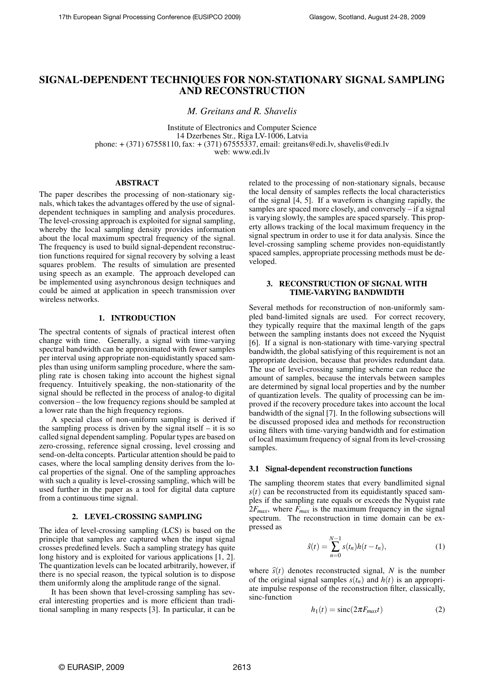# **SIGNAL-DEPENDENT TECHNIQUES FOR NON-STATIONARY SIGNAL SAMPLING AND RECONSTRUCTION**

*M. Greitans and R. Shavelis*

Institute of Electronics and Computer Science 14 Dzerbenes Str., Riga LV-1006, Latvia phone: + (371) 67558110, fax: + (371) 67555337, email: greitans@edi.lv, shavelis@edi.lv web: www.edi.lv

#### **ABSTRACT**

The paper describes the processing of non-stationary signals, which takes the advantages offered by the use of signaldependent techniques in sampling and analysis procedures. The level-crossing approach is exploited for signal sampling, whereby the local sampling density provides information about the local maximum spectral frequency of the signal. The frequency is used to build signal-dependent reconstruction functions required for signal recovery by solving a least squares problem. The results of simulation are presented using speech as an example. The approach developed can be implemented using asynchronous design techniques and could be aimed at application in speech transmission over wireless networks.

# **1. INTRODUCTION**

The spectral contents of signals of practical interest often change with time. Generally, a signal with time-varying spectral bandwidth can be approximated with fewer samples per interval using appropriate non-equidistantly spaced samples than using uniform sampling procedure, where the sampling rate is chosen taking into account the highest signal frequency. Intuitively speaking, the non-stationarity of the signal should be reflected in the process of analog-to digital conversion – the low frequency regions should be sampled at a lower rate than the high frequency regions.

A special class of non-uniform sampling is derived if the sampling process is driven by the signal itself  $-$  it is so called signal dependent sampling. Popular types are based on zero-crossing, reference signal crossing, level crossing and send-on-delta concepts. Particular attention should be paid to cases, where the local sampling density derives from the local properties of the signal. One of the sampling approaches with such a quality is level-crossing sampling, which will be used further in the paper as a tool for digital data capture from a continuous time signal.

## **2. LEVEL-CROSSING SAMPLING**

The idea of level-crossing sampling (LCS) is based on the principle that samples are captured when the input signal crosses predefined levels. Such a sampling strategy has quite long history and is exploited for various applications [1, 2]. The quantization levels can be located arbitrarily, however, if there is no special reason, the typical solution is to dispose them uniformly along the amplitude range of the signal.

It has been shown that level-crossing sampling has several interesting properties and is more efficient than traditional sampling in many respects [3]. In particular, it can be related to the processing of non-stationary signals, because the local density of samples reflects the local characteristics of the signal [4, 5]. If a waveform is changing rapidly, the samples are spaced more closely, and conversely – if a signal is varying slowly, the samples are spaced sparsely. This property allows tracking of the local maximum frequency in the signal spectrum in order to use it for data analysis. Since the level-crossing sampling scheme provides non-equidistantly spaced samples, appropriate processing methods must be developed.

### **3. RECONSTRUCTION OF SIGNAL WITH TIME-VARYING BANDWIDTH**

Several methods for reconstruction of non-uniformly sampled band-limited signals are used. For correct recovery, they typically require that the maximal length of the gaps between the sampling instants does not exceed the Nyquist [6]. If a signal is non-stationary with time-varying spectral bandwidth, the global satisfying of this requirement is not an appropriate decision, because that provides redundant data. The use of level-crossing sampling scheme can reduce the amount of samples, because the intervals between samples are determined by signal local properties and by the number of quantization levels. The quality of processing can be improved if the recovery procedure takes into account the local bandwidth of the signal [7]. In the following subsections will be discussed proposed idea and methods for reconstruction using filters with time-varying bandwidth and for estimation of local maximum frequency of signal from its level-crossing samples.

#### **3.1 Signal-dependent reconstruction functions**

The sampling theorem states that every bandlimited signal  $s(t)$  can be reconstructed from its equidistantly spaced samples if the sampling rate equals or exceeds the Nyquist rate  $2F_{max}$ , where  $F_{max}$  is the maximum frequency in the signal spectrum. The reconstruction in time domain can be expressed as

$$
\hat{s}(t) = \sum_{n=0}^{N-1} s(t_n)h(t - t_n),
$$
\n(1)

where  $\hat{s}(t)$  denotes reconstructed signal, *N* is the number of the original signal samples  $s(t_n)$  and  $h(t)$  is an appropriate impulse response of the reconstruction filter, classically, sinc-function

$$
h_1(t) = \text{sinc}(2\pi F_{\text{max}}t) \tag{2}
$$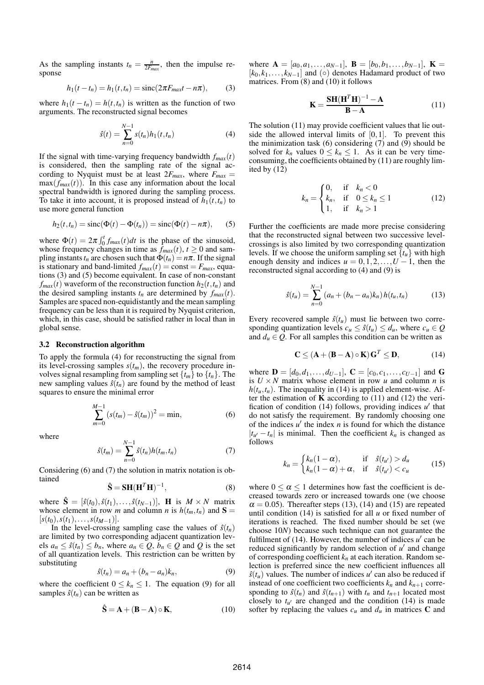As the sampling instants  $t_n = \frac{n}{2F_{max}}$ , then the impulse response

$$
h_1(t - t_n) = h_1(t, t_n) = \text{sinc}(2\pi F_{max}t - n\pi),
$$
 (3)

where  $h_1(t - t_n) = h(t, t_n)$  is written as the function of two arguments. The reconstructed signal becomes

$$
\hat{s}(t) = \sum_{n=0}^{N-1} s(t_n) h_1(t, t_n)
$$
\n(4)

If the signal with time-varying frequency bandwidth  $f_{max}(t)$ is considered, then the sampling rate of the signal according to Nyquist must be at least  $2F_{max}$ , where  $F_{max}$  =  $max(f<sub>max</sub>(t))$ . In this case any information about the local spectral bandwidth is ignored during the sampling process. To take it into account, it is proposed instead of  $h_1(t,t_n)$  to use more general function

$$
h_2(t,t_n) = \text{sinc}(\Phi(t) - \Phi(t_n)) = \text{sinc}(\Phi(t) - n\pi), \qquad (5)
$$

where  $\Phi(t) = 2\pi \int_0^t f_{max}(t) dt$  is the phase of the sinusoid, whose frequency changes in time as  $\bar{f}_{max}(t)$ ,  $t \ge 0$  and sampling instants  $t_n$  are chosen such that  $\Phi(t_n) = n\pi$ . If the signal is stationary and band-limited  $f_{max}(t) = \text{const} = F_{max}$ , equations (3) and (5) become equivalent. In case of non-constant  $f_{max}(t)$  waveform of the reconstruction function  $h_2(t,t_n)$  and the desired sampling instants  $t_n$  are determined by  $f_{max}(t)$ . Samples are spaced non-equidistantly and the mean sampling frequency can be less than it is required by Nyquist criterion, which, in this case, should be satisfied rather in local than in global sense.

#### **3.2 Reconstruction algorithm**

To apply the formula (4) for reconstructing the signal from its level-crossing samples  $s(t_m)$ , the recovery procedure involves signal resampling from sampling set  $\{t_m\}$  to  $\{t_n\}$ . The new sampling values  $\hat{s}(t_n)$  are found by the method of least squares to ensure the minimal error

$$
\sum_{m=0}^{M-1} (s(t_m) - \hat{s}(t_m))^2 = \min,
$$
\n(6)

where

$$
\hat{s}(t_m) = \sum_{n=0}^{N-1} \hat{s}(t_n) h(t_m, t_n)
$$
\n(7)

Considering (6) and (7) the solution in matrix notation is obtained

$$
\hat{\mathbf{S}} = \mathbf{S} \mathbf{H} (\mathbf{H}^T \mathbf{H})^{-1},\tag{8}
$$

where  $\tilde{\mathbf{S}} = [\hat{s}(t_0), \hat{s}(t_1), \dots, \hat{s}(t_{N-1})], \mathbf{H}$  is  $M \times N$  matrix whose element in row *m* and column *n* is  $h(t_m, t_n)$  and  $S =$  $[s(t_0), s(t_1), \ldots, s(t_{M-1})].$ 

In the level-crossing sampling case the values of  $\hat{s}(t_n)$ are limited by two corresponding adjacent quantization levels  $a_n \leq \hat{s}(t_n) \leq b_n$ , where  $a_n \in Q$ ,  $b_n \in Q$  and  $Q$  is the set of all quantization levels. This restriction can be written by substituting

$$
\hat{s}(t_n) = a_n + (b_n - a_n)k_n,\tag{9}
$$

where the coefficient  $0 \leq k_n \leq 1$ . The equation (9) for all samples  $\hat{s}(t_n)$  can be written as

$$
\hat{\mathbf{S}} = \mathbf{A} + (\mathbf{B} - \mathbf{A}) \circ \mathbf{K},\tag{10}
$$

where  $\mathbf{A} = [a_0, a_1, \dots, a_{N-1}], \mathbf{B} = [b_0, b_1, \dots, b_{N-1}], \mathbf{K} =$  $[k_0, k_1, \ldots, k_{N-1}]$  and (◦) denotes Hadamard product of two matrices. From (8) and (10) it follows

$$
\mathbf{K} = \frac{\mathbf{SH}(\mathbf{H}^T \mathbf{H})^{-1} - \mathbf{A}}{\mathbf{B} - \mathbf{A}} \tag{11}
$$

The solution (11) may provide coefficient values that lie outside the allowed interval limits of  $[0,1]$ . To prevent this the minimization task (6) considering (7) and (9) should be solved for  $k_n$  values  $0 \leq k_n \leq 1$ . As it can be very timeconsuming, the coefficients obtained by (11) are roughly limited by (12)

$$
k_n = \begin{cases} 0, & \text{if } k_n < 0 \\ k_n, & \text{if } 0 \le k_n \le 1 \\ 1, & \text{if } k_n > 1 \end{cases}
$$
 (12)

Further the coefficients are made more precise considering that the reconstructed signal between two successive levelcrossings is also limited by two corresponding quantization levels. If we choose the uniform sampling set  $\{t_u\}$  with high enough density and indices  $u = 0, 1, 2, \ldots, U-1$ , then the reconstructed signal according to (4) and (9) is

$$
\hat{s}(t_u) = \sum_{n=0}^{N-1} (a_n + (b_n - a_n)k_n) h(t_u, t_n)
$$
 (13)

Every recovered sample  $\hat{s}(t_u)$  must lie between two corresponding quantization levels  $c_u \leq \hat{s}(t_u) \leq d_u$ , where  $c_u \in Q$ and  $d_u \in Q$ . For all samples this condition can be written as

$$
\mathbf{C} \le (\mathbf{A} + (\mathbf{B} - \mathbf{A}) \circ \mathbf{K}) \mathbf{G}^T \le \mathbf{D},
$$
 (14)

where  $\mathbf{D} = [d_0, d_1, \ldots, d_{U-1}], \mathbf{C} = [c_0, c_1, \ldots, c_{U-1}]$  and **G** is  $U \times N$  matrix whose element in row *u* and column *n* is  $h(t<sub>u</sub>, t<sub>n</sub>)$ . The inequality in (14) is applied element-wise. After the estimation of **K** according to (11) and (12) the verification of condition (14) follows, providing indices u' that do not satisfy the requirement. By randomly choosing one of the indices  $u'$  the index  $n$  is found for which the distance  $|t_{u'} - t_n|$  is minimal. Then the coefficient  $k_n$  is changed as follows

$$
k_n = \begin{cases} k_n(1-\alpha), & \text{if } \hat{s}(t_{u'}) > d_u \\ k_n(1-\alpha) + \alpha, & \text{if } \hat{s}(t_{u'}) < c_u \end{cases} \tag{15}
$$

where  $0 \le \alpha \le 1$  determines how fast the coefficient is decreased towards zero or increased towards one (we choose  $\alpha = 0.05$ . Thereafter steps (13), (14) and (15) are repeated until condition (14) is satisfied for all *u* or fixed number of iterations is reached. The fixed number should be set (we choose 10*N*) because such technique can not guarantee the fulfilment of  $(14)$ . However, the number of indices  $u'$  can be reduced significantly by random selection of  $u'$  and change of corresponding coefficient  $k_n$  at each iteration. Random selection is preferred since the new coefficient influences all  $\hat{s}(t_u)$  values. The number of indices *u'* can also be reduced if instead of one coefficient two coefficients  $k_n$  and  $k_{n+1}$  corresponding to  $\hat{s}(t_n)$  and  $\hat{s}(t_{n+1})$  with  $t_n$  and  $t_{n+1}$  located most closely to  $t_{u'}$  are changed and the condition (14) is made softer by replacing the values  $c_u$  and  $d_u$  in matrices **C** and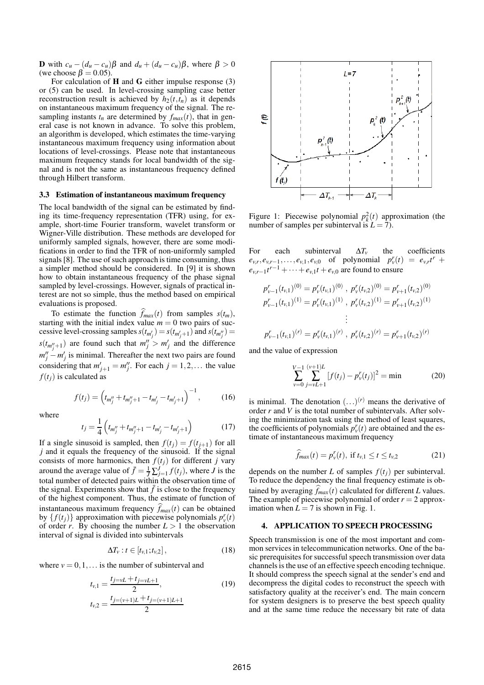**D** with  $c_u - (d_u - c_u)\beta$  and  $d_u + (d_u - c_u)\beta$ , where  $\beta > 0$ (we choose  $\beta = 0.05$ ).

For calculation of **H** and **G** either impulse response (3) or (5) can be used. In level-crossing sampling case better reconstruction result is achieved by  $h_2(t,t_n)$  as it depends on instantaneous maximum frequency of the signal. The resampling instants  $t_n$  are determined by  $f_{max}(t)$ , that in general case is not known in advance. To solve this problem, an algorithm is developed, which estimates the time-varying instantaneous maximum frequency using information about locations of level-crossings. Please note that instantaneous maximum frequency stands for local bandwidth of the signal and is not the same as instantaneous frequency defined through Hilbert transform.

#### **3.3 Estimation of instantaneous maximum frequency**

The local bandwidth of the signal can be estimated by finding its time-frequency representation (TFR) using, for example, short-time Fourier transform, wavelet transform or Wigner-Ville distribution. These methods are developed for uniformly sampled signals, however, there are some modifications in order to find the TFR of non-uniformly sampled signals [8]. The use of such approach is time consuming, thus a simpler method should be considered. In [9] it is shown how to obtain instantaneous frequency of the phase signal sampled by level-crossings. However, signals of practical interest are not so simple, thus the method based on empirical evaluations is proposed.

To estimate the function  $f_{max}(t)$  from samples  $s(t_m)$ , starting with the initial index value  $m = 0$  two pairs of successive level-crossing samples  $s(t_{m'_j}) = s(t_{m'_j+1})$  and  $s(t_{m''_j}) = s(t_{m''_j})$  $s(t_{m''_j+1})$  are found such that  $m''_j > m'_j$  and the difference  $m''_j - m'_j$  is minimal. Thereafter the next two pairs are found considering that  $m'_{j+1} = m''_j$ . For each  $j = 1, 2, ...$  the value  $f(t_i)$  is calculated as

$$
f(t_j) = \left(t_{m''_j} + t_{m''_j+1} - t_{m'_j} - t_{m'_j+1}\right)^{-1},\tag{16}
$$

where

$$
t_j = \frac{1}{4} \left( t_{m''_j} + t_{m''_j+1} - t_{m'_j} - t_{m'_j+1} \right)
$$
 (17)

If a single sinusoid is sampled, then  $f(t_j) = f(t_{j+1})$  for all *j* and it equals the frequency of the sinusoid. If the signal consists of more harmonics, then  $f(t_i)$  for different *j* vary around the average value of  $\bar{f} = \frac{1}{J} \sum_{j=1}^{J} f(t_j)$ , where *J* is the total number of detected pairs within the observation time of the signal. Experiments show that  $\bar{f}$  is close to the frequency of the highest component. Thus, the estimate of function of instantaneous maximum frequency  $f_{max}(t)$  can be obtained by  $\{f(t_j)\}\$ approximation with piecewise polynomials  $p^r_v(t)$ of order *r*. By choosing the number  $L > 1$  the observation interval of signal is divided into subintervals

$$
\Delta T_{\nu}: t \in [t_{\nu,1}; t_{\nu,2}], \qquad (18)
$$

where  $v = 0, 1, \ldots$  is the number of subinterval and

$$
t_{v,1} = \frac{t_{j=vL} + t_{j=vL+1}}{2},
$$
  
\n
$$
t_{v,2} = \frac{t_{j=(v+1)L} + t_{j=(v+1)L+1}}{2}
$$
\n(19)



Figure 1: Piecewise polynomial  $p_k^2(t)$  approximation (the number of samples per subinterval is  $L = 7$ .

For each subinterval  $\Delta T_v$  the coefficients  $e_{v,r}, e_{v,r-1}, \ldots, e_{v,1}, e_{v,0}$  of polynomial  $p_v^r(t) = e_{v,r}t^r +$  $e_{v,r-1}t^{r-1} + \cdots + e_{v,1}t + e_{v,0}$  are found to ensure

$$
p_{v-1}^r(t_{v,1})^{(0)} = p_v^r(t_{v,1})^{(0)}, \ p_v^r(t_{v,2})^{(0)} = p_{v+1}^r(t_{v,2})^{(0)}
$$
  

$$
p_{v-1}^r(t_{v,1})^{(1)} = p_v^r(t_{v,1})^{(1)}, \ p_v^r(t_{v,2})^{(1)} = p_{v+1}^r(t_{v,2})^{(1)}
$$
  

$$
\vdots
$$
  

$$
p_{v-1}^r(t_{v,1})^{(r)} = p_v^r(t_{v,1})^{(r)}, \ p_v^r(t_{v,2})^{(r)} = p_{v+1}^r(t_{v,2})^{(r)}
$$

and the value of expression

$$
\sum_{\nu=0}^{V-1} \sum_{j=\nu}^{(\nu+1)L} [f(t_j) - p_{\nu}^r(t_j)]^2 = \min \tag{20}
$$

is minimal. The denotation  $(\ldots)^{(r)}$  means the derivative of order *r* and *V* is the total number of subintervals. After solving the minimization task using the method of least squares, the coefficients of polynomials  $p_{v}^{r}(t)$  are obtained and the estimate of instantaneous maximum frequency

$$
\widehat{f}_{max}(t) = p_v^r(t), \text{ if } t_{v,1} \le t \le t_{v,2} \tag{21}
$$

depends on the number *L* of samples  $f(t_i)$  per subinterval. To reduce the dependency the final frequency estimate is obtained by averaging  $f_{max}(t)$  calculated for different *L* values. The example of piecewise polynomial of order  $r = 2$  approximation when  $L = 7$  is shown in Fig. 1.

### **4. APPLICATION TO SPEECH PROCESSING**

Speech transmission is one of the most important and common services in telecommunication networks. One of the basic prerequisites for successful speech transmission over data channels is the use of an effective speech encoding technique. It should compress the speech signal at the sender's end and decompress the digital codes to reconstruct the speech with satisfactory quality at the receiver's end. The main concern for system designers is to preserve the best speech quality and at the same time reduce the necessary bit rate of data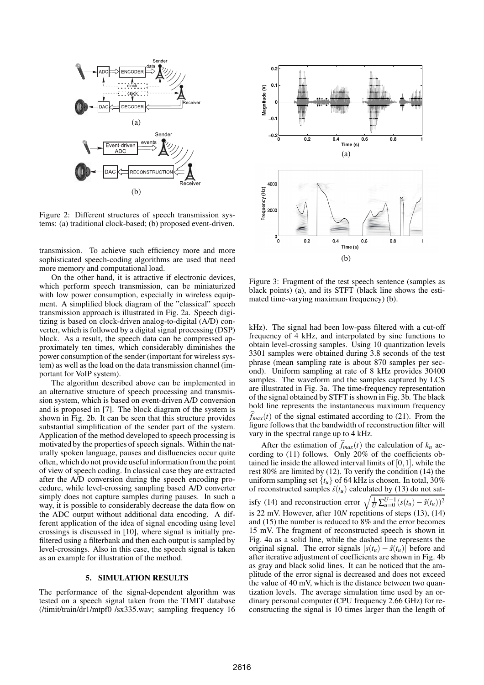

Figure 2: Different structures of speech transmission systems: (a) traditional clock-based; (b) proposed event-driven.

transmission. To achieve such efficiency more and more sophisticated speech-coding algorithms are used that need more memory and computational load.

On the other hand, it is attractive if electronic devices, which perform speech transmission, can be miniaturized with low power consumption, especially in wireless equipment. A simplified block diagram of the "classical" speech transmission approach is illustrated in Fig. 2a. Speech digitizing is based on clock-driven analog-to-digital (A/D) converter, which is followed by a digital signal processing (DSP) block. As a result, the speech data can be compressed approximately ten times, which considerably diminishes the power consumption of the sender (important for wireless system) as well as the load on the data transmission channel (important for VoIP system).

The algorithm described above can be implemented in an alternative structure of speech processing and transmission system, which is based on event-driven A/D conversion and is proposed in [7]. The block diagram of the system is shown in Fig. 2b. It can be seen that this structure provides substantial simplification of the sender part of the system. Application of the method developed to speech processing is motivated by the properties of speech signals. Within the naturally spoken language, pauses and disfluencies occur quite often, which do not provide useful information from the point of view of speech coding. In classical case they are extracted after the A/D conversion during the speech encoding procedure, while level-crossing sampling based A/D converter simply does not capture samples during pauses. In such a way, it is possible to considerably decrease the data flow on the ADC output without additional data encoding. A different application of the idea of signal encoding using level crossings is discussed in [10], where signal is initially prefiltered using a filterbank and then each output is sampled by level-crossings. Also in this case, the speech signal is taken as an example for illustration of the method.

#### **5. SIMULATION RESULTS**

The performance of the signal-dependent algorithm was tested on a speech signal taken from the TIMIT database (/timit/train/dr1/mtpf0 /sx335.wav; sampling frequency 16



Figure 3: Fragment of the test speech sentence (samples as black points) (a), and its STFT (black line shows the estimated time-varying maximum frequency) (b).

kHz). The signal had been low-pass filtered with a cut-off frequency of 4 kHz, and interpolated by sinc functions to obtain level-crossing samples. Using 10 quantization levels 3301 samples were obtained during 3.8 seconds of the test phrase (mean sampling rate is about 870 samples per second). Uniform sampling at rate of 8 kHz provides 30400 samples. The waveform and the samples captured by LCS are illustrated in Fig. 3a. The time-frequency representation of the signal obtained by STFT is shown in Fig. 3b. The black bold line represents the instantaneous maximum frequency  $f_{max}(t)$  of the signal estimated according to (21). From the figure follows that the bandwidth of reconstruction filter will vary in the spectral range up to 4 kHz.

After the estimation of  $\hat{f}_{max}(t)$  the calculation of  $k_n$  according to (11) follows. Only 20% of the coefficients obtained lie inside the allowed interval limits of  $[0,1]$ , while the rest 80% are limited by (12). To verify the condition (14) the uniform sampling set  $\{t_u\}$  of 64 kHz is chosen. In total, 30% of reconstructed samples  $\hat{s}(t_u)$  calculated by (13) do not satisfy (14) and reconstruction error  $\sqrt{\frac{1}{U} \sum_{u=0}^{U-1} (s(t_u) - \hat{s}(t_u))^2}$ is 22 mV. However, after 10*N* repetitions of steps (13), (14) and (15) the number is reduced to 8% and the error becomes 15 mV. The fragment of reconstructed speech is shown in Fig. 4a as a solid line, while the dashed line represents the original signal. The error signals  $|s(t_u) - \hat{s}(t_u)|$  before and after iterative adjustment of coefficients are shown in Fig. 4b as gray and black solid lines. It can be noticed that the amplitude of the error signal is decreased and does not exceed the value of 40 mV, which is the distance between two quantization levels. The average simulation time used by an ordinary personal computer (CPU frequency 2.66 GHz) for reconstructing the signal is 10 times larger than the length of